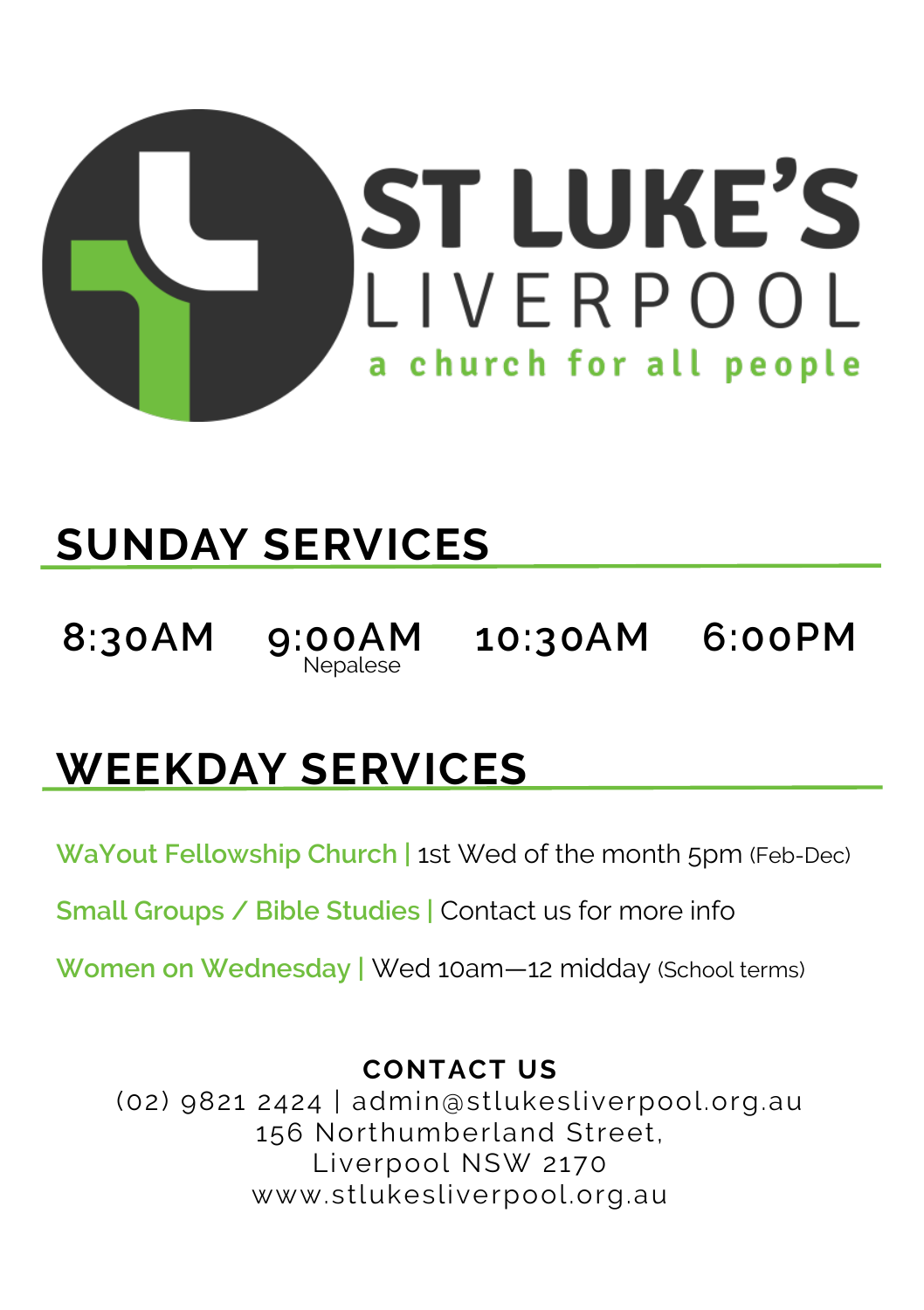

# **SUNDAY SERVICES**

**8:30AM 9:00AM 10:30AM 6:00PM**

 $9:00AM$ <br>Nepalese

# **WEEKDAY SERVICES**

**WaYout Fellowship Church |** 1st Wed of the month 5pm (Feb-Dec)

**Small Groups / Bible Studies |** Contact us for more info

**Women on Wednesday |** Wed 10am—12 midday (School terms)

#### **CONTACT US**

(02) 9821 2424 | admin@stlukesliverpool.org.au 156 Northumberland Street, Liverpool NSW 2170 www.stlukesliverpool.org.au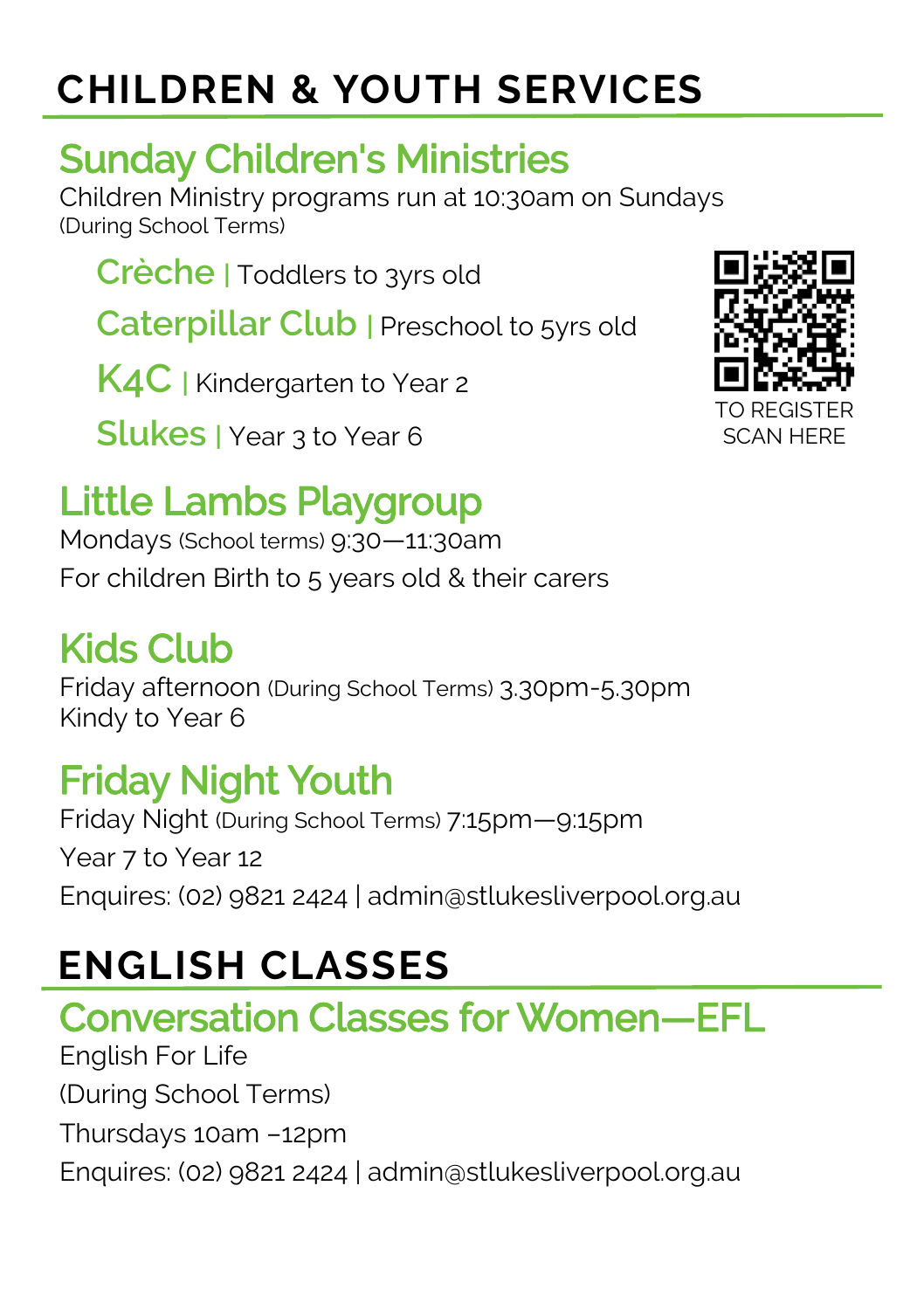# **CHILDREN & YOUTH SERVICES**

### Sunday Children's Ministries

Children Ministry programs run at 10:30am on Sundays (During School Terms)

**Crèche |** Toddlers to 3yrs old

**Caterpillar Club** | Preschool to 5yrs old

**K4C |** Kindergarten to Year 2

**Slukes |** Year 3 to Year 6

# Little Lambs Playgroup

Mondays (School terms) 9:30—11:30am For children Birth to 5 years old & their carers

#### Kids Club

Friday afternoon (During School Terms) 3.30pm-5.30pm Kindy to Year 6

# Friday Night Youth

Friday Night (During School Terms) 7:15pm—9:15pm Year 7 to Year 12 Enquires: (02) 9821 2424 | admin@stlukesliverpool.org.au

# **ENGLISH CLASSES**

# Conversation Classes for Women—EFL

English For Life (During School Terms) Thursdays 10am –12pm Enquires: (02) 9821 2424 | admin@stlukesliverpool.org.au

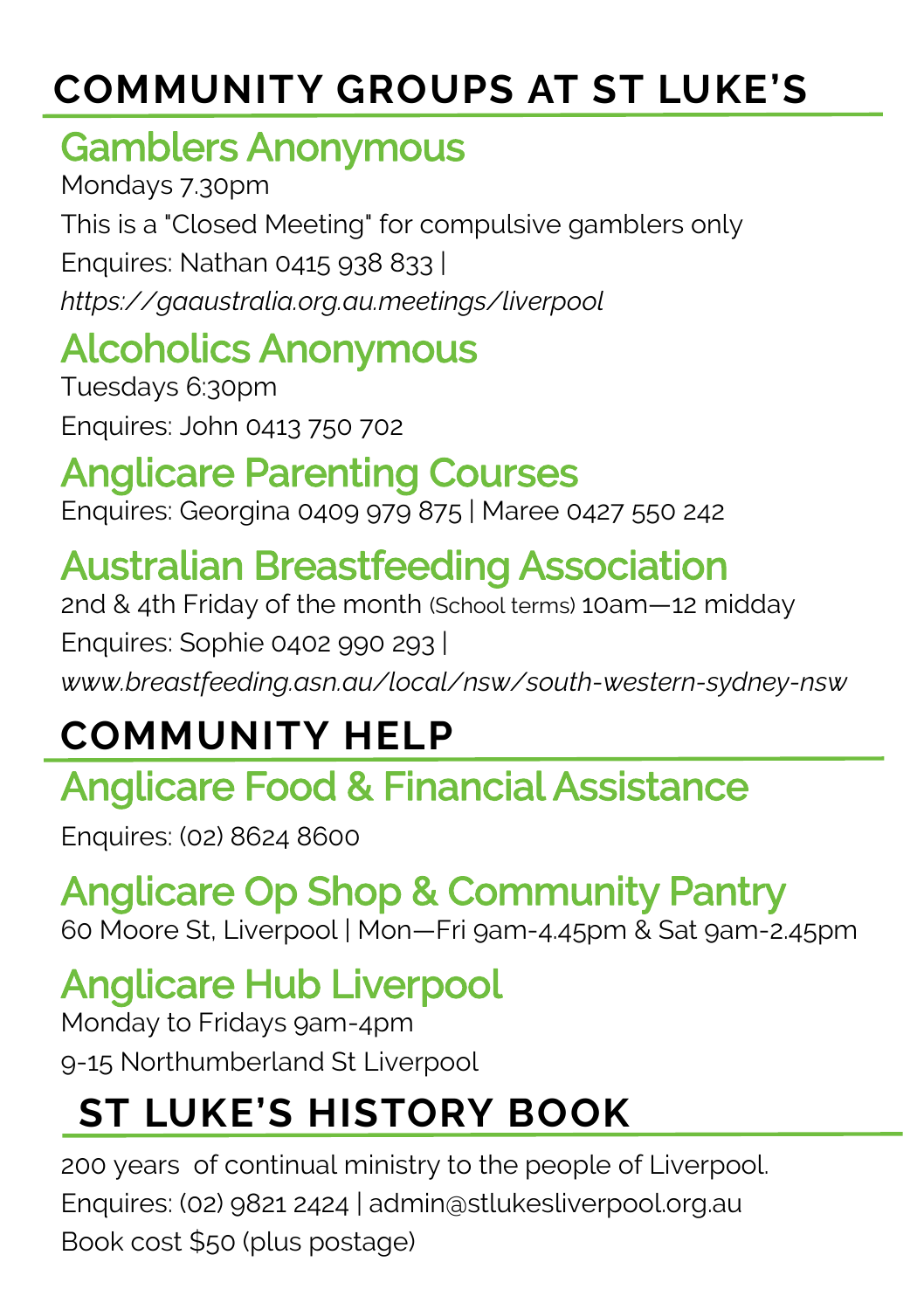# **COMMUNITY GROUPS AT ST LUKE'S**

#### Gamblers Anonymous

Mondays 7.30pm This is a "Closed Meeting" for compulsive gamblers only Enquires: Nathan 0415 938 833 | *https:/[/gaaustralia.org.au.](http://www.gaaustralia.org.au)meetings/liverpool*

### Alcoholics Anonymous

Tuesdays 6:30pm Enquires: John 0413 750 702

### Anglicare Parenting Courses

Enquires: Georgina 0409 979 875 | Maree 0427 550 242

# Australian Breastfeeding Association

2nd & 4th Friday of the month (School terms) 10am—12 midday Enquires: Sophie 0402 990 293 | *[www.breastfeeding.asn.au/local/nsw/south](http://www.breastfeeding.asn.au/local/nsw/south-western-sydney-nsw)-western-sydney-nsw*

# **COMMUNITY HELP**

# Anglicare Food & Financial Assistance

Enquires: (02) 8624 8600

# Anglicare Op Shop & Community Pantry

60 Moore St, Liverpool | Mon—Fri 9am-4.45pm & Sat 9am-2.45pm

### Anglicare Hub Liverpool

Monday to Fridays 9am-4pm 9-15 Northumberland St Liverpool

# **ST LUKE'S HISTORY BOOK**

200 years of continual ministry to the people of Liverpool. Enquires: (02) 9821 2424 | admin@stlukesliverpool.org.au Book cost \$50 (plus postage)